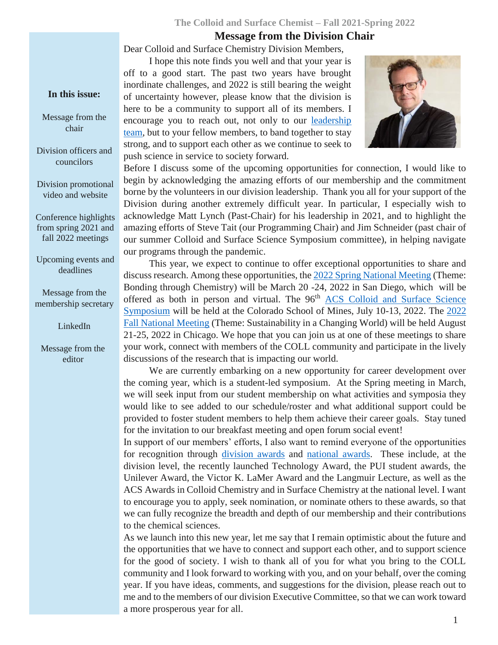### **The Colloid and Surface Chemist – Fall 2021-Spring 2022**

### **Message from the Division Chair**

Dear Colloid and Surface Chemistry Division Members,

I hope this note finds you well and that your year is off to a good start. The past two years have brought inordinate challenges, and 2022 is still bearing the weight of uncertainty however, please know that the division is here to be a community to support all of its members. I encourage you to reach out, not only to our **leadership** [team,](https://www.colloidssurfaces.org/about/meet-the-team/) but to your fellow members, to band together to stay strong, and to support each other as we continue to seek to push science in service to society forward.



Before I discuss some of the upcoming opportunities for connection, I would like to begin by acknowledging the amazing efforts of our membership and the commitment borne by the volunteers in our division leadership. Thank you all for your support of the Division during another extremely difficult year. In particular, I especially wish to acknowledge Matt Lynch (Past-Chair) for his leadership in 2021, and to highlight the amazing efforts of Steve Tait (our Programming Chair) and Jim Schneider (past chair of our summer Colloid and Surface Science Symposium committee), in helping navigate our programs through the pandemic.

This year, we expect to continue to offer exceptional opportunities to share and discuss research. Among these opportunities, th[e 2022 Spring National Meeting](https://www.acs.org/content/acs/en/meetings/acs-meetings/abstract-submission/call-for-abstracts.html) (Theme: Bonding through Chemistry) will be March 20 -24, 2022 in San Diego, which will be offered as both in person and virtual. The 96<sup>th</sup> ACS Colloid and Surface Science [Symposium](https://colloids2022.org/) will be held at the Colorado School of Mines, July 10-13, 2022. The [2022](https://www.acs.org/content/acs/en/meetings/acs-meetings/about/future-meetings.html)  [Fall National Meeting](https://www.acs.org/content/acs/en/meetings/acs-meetings/about/future-meetings.html) (Theme: Sustainability in a Changing World) will be held August 21-25, 2022 in Chicago. We hope that you can join us at one of these meetings to share your work, connect with members of the COLL community and participate in the lively discussions of the research that is impacting our world.

We are currently embarking on a new opportunity for career development over the coming year, which is a student-led symposium. At the Spring meeting in March, we will seek input from our student membership on what activities and symposia they would like to see added to our schedule/roster and what additional support could be provided to foster student members to help them achieve their career goals. Stay tuned for the invitation to our breakfast meeting and open forum social event!

In support of our members' efforts, I also want to remind everyone of the opportunities for recognition through [division awards](https://www.colloidssurfaces.org/awards/) and [national awards.](https://www.acs.org/content/acs/en/funding/awards/national.html) These include, at the division level, the recently launched Technology Award, the PUI student awards, the Unilever Award, the Victor K. LaMer Award and the Langmuir Lecture, as well as the ACS Awards in Colloid Chemistry and in Surface Chemistry at the national level. I want to encourage you to apply, seek nomination, or nominate others to these awards, so that we can fully recognize the breadth and depth of our membership and their contributions to the chemical sciences.

As we launch into this new year, let me say that I remain optimistic about the future and the opportunities that we have to connect and support each other, and to support science for the good of society. I wish to thank all of you for what you bring to the COLL community and I look forward to working with you, and on your behalf, over the coming year. If you have ideas, comments, and suggestions for the division, please reach out to me and to the members of our division Executive Committee, so that we can work toward a more prosperous year for all.

#### **In this issue:**

Message from the chair

Division officers and councilors

Division promotional video and website

Conference highlights from spring 2021 and fall 2022 meetings

Upcoming events and deadlines

Message from the membership secretary

LinkedIn

Message from the editor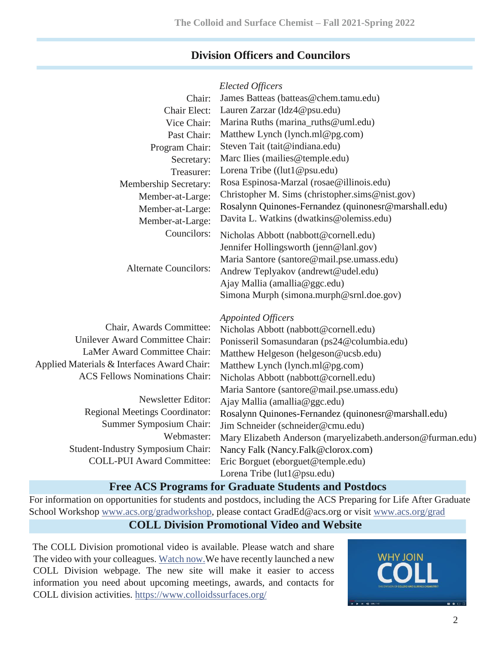## **Division Officers and Councilors**

|                                             | <b>Elected Officers</b>                                     |
|---------------------------------------------|-------------------------------------------------------------|
| Chair:                                      | James Batteas (batteas@chem.tamu.edu)                       |
| Chair Elect:                                | Lauren Zarzar (ldz4@psu.edu)                                |
| Vice Chair:                                 | Marina Ruths (marina_ruths@uml.edu)                         |
| Past Chair:                                 | Matthew Lynch (lynch.ml@pg.com)                             |
| Program Chair:                              | Steven Tait (tait@indiana.edu)                              |
| Secretary:                                  | Marc Ilies (mailies@temple.edu)                             |
| Treasurer:                                  | Lorena Tribe ((lut1@psu.edu)                                |
| Membership Secretary:                       | Rosa Espinosa-Marzal (rosae@illinois.edu)                   |
| Member-at-Large:                            | Christopher M. Sims (christopher.sims@nist.gov)             |
| Member-at-Large:                            | Rosalynn Quinones-Fernandez (quinonesr@marshall.edu)        |
| Member-at-Large:                            | Davita L. Watkins (dwatkins@olemiss.edu)                    |
| Councilors:                                 | Nicholas Abbott (nabbott@cornell.edu)                       |
|                                             | Jennifer Hollingsworth (jenn@lanl.gov)                      |
| <b>Alternate Councilors:</b>                | Maria Santore (santore@mail.pse.umass.edu)                  |
|                                             | Andrew Teplyakov (andrewt@udel.edu)                         |
|                                             | Ajay Mallia (amallia@ggc.edu)                               |
|                                             | Simona Murph (simona.murph@srnl.doe.gov)                    |
|                                             | <b>Appointed Officers</b>                                   |
| Chair, Awards Committee:                    | Nicholas Abbott (nabbott@cornell.edu)                       |
| Unilever Award Committee Chair:             | Ponisseril Somasundaran (ps24@columbia.edu)                 |
| LaMer Award Committee Chair:                | Matthew Helgeson (helgeson@ucsb.edu)                        |
| Applied Materials & Interfaces Award Chair: | Matthew Lynch (lynch.ml@pg.com)                             |
| <b>ACS Fellows Nominations Chair:</b>       | Nicholas Abbott (nabbott@cornell.edu)                       |
|                                             | Maria Santore (santore@mail.pse.umass.edu)                  |
| Newsletter Editor:                          | Ajay Mallia (amallia@ggc.edu)                               |
| <b>Regional Meetings Coordinator:</b>       | Rosalynn Quinones-Fernandez (quinonesr@marshall.edu)        |
| Summer Symposium Chair:                     | Jim Schneider (schneider@cmu.edu)                           |
| Webmaster:                                  | Mary Elizabeth Anderson (maryelizabeth.anderson@furman.edu) |
| <b>Student-Industry Symposium Chair:</b>    | Nancy Falk (Nancy.Falk@clorox.com)                          |
| <b>COLL-PUI Award Committee:</b>            | Eric Borguet (eborguet@temple.edu)                          |
|                                             | Lorena Tribe (lut1@psu.edu)                                 |
|                                             |                                                             |

## **Free ACS Programs for Graduate Students and Postdocs**

For information on opportunities for students and postdocs, including the ACS Preparing for Life After Graduate School Workshop [www.acs.org/gradworkshop,](http://www.acs.org/gradworkshop) please contact GradEd@acs.org or visit [www.acs.org/grad](http://www.acs.org/grad)

# **COLL Division Promotional Video and Website**

The COLL Division promotional video is available. Please watch and share The video with your colleagues. [Watch now.W](https://www.youtube.com/watch?v=qM-crhZcHrk&index=24&list=PLLG7h7fPoH8KSiqNUzJ_vDCRKW1WwltnN)e have recently launched a new COLL Division webpage. The new site will make it easier to access information you need about upcoming meetings, awards, and contacts for COLL division activities.<https://www.colloidssurfaces.org/>

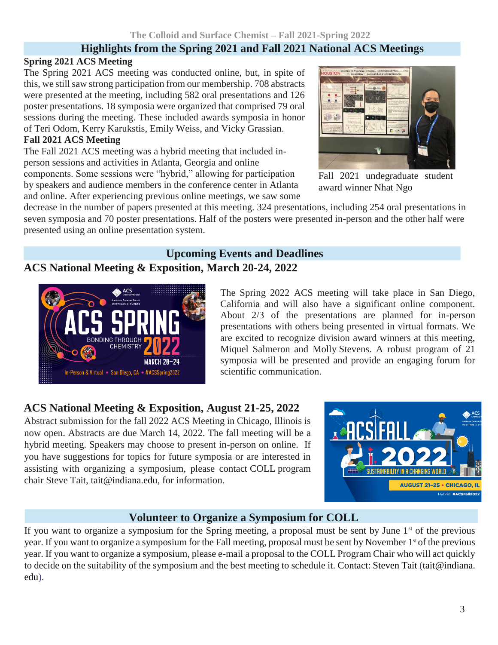## **Highlights from the Spring 2021 and Fall 2021 National ACS Meetings**

## **Spring 2021 ACS Meeting**

The Spring 2021 ACS meeting was conducted online, but, in spite of this, we still saw strong participation from our membership. 708 abstracts were presented at the meeting, including 582 oral presentations and 126 poster presentations. 18 symposia were organized that comprised 79 oral sessions during the meeting. These included awards symposia in honor of Teri Odom, Kerry Karukstis, Emily Weiss, and Vicky Grassian.

## **Fall 2021 ACS Meeting**

The Fall 2021 ACS meeting was a hybrid meeting that included inperson sessions and activities in Atlanta, Georgia and online components. Some sessions were "hybrid," allowing for participation by speakers and audience members in the conference center in Atlanta and online. After experiencing previous online meetings, we saw some



Fall 2021 undegraduate student award winner Nhat Ngo

decrease in the number of papers presented at this meeting. 324 presentations, including 254 oral presentations in seven symposia and 70 poster presentations. Half of the posters were presented in-person and the other half were presented using an online presentation system.

## **Upcoming Events and Deadlines ACS National Meeting & Exposition, March 20-24, 2022**



The Spring 2022 ACS meeting will take place in San Diego, California and will also have a significant online component. About 2/3 of the presentations are planned for in-person presentations with others being presented in virtual formats. We are excited to recognize division award winners at this meeting, Miquel Salmeron and Molly Stevens. A robust program of 21 symposia will be presented and provide an engaging forum for scientific communication.

# **ACS National Meeting & Exposition, August 21-25, 2022**

Abstract submission for the fall 2022 ACS Meeting in Chicago, Illinois is now open. Abstracts are due March 14, 2022. The fall meeting will be a hybrid meeting. Speakers may choose to present in-person on online. If you have suggestions for topics for future symposia or are interested in assisting with organizing a symposium, please contact COLL program chair Steve Tait, tait@indiana.edu, for information.



# **Volunteer to Organize a Symposium for COLL**

If you want to organize a symposium for the Spring meeting, a proposal must be sent by June  $1<sup>st</sup>$  of the previous year. If you want to organize a symposium for the Fall meeting, proposal must be sent by November 1<sup>st</sup> of the previous year. If you want to organize a symposium, please e-mail a proposal to the COLL Program Chair who will act quickly to decide on the suitability of the symposium and the best meeting to schedule it. Contact: Steven Tait (tait@indiana. edu).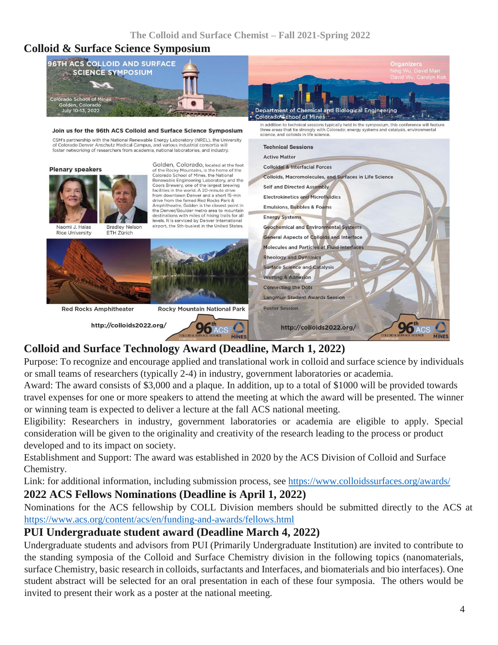## **Colloid & Surface Science Symposium**



# **Colloid and Surface Technology Award (Deadline, March 1, 2022)**

Purpose: To recognize and encourage applied and translational work in colloid and surface science by individuals or small teams of researchers (typically 2-4) in industry, government laboratories or academia.

Award: The award consists of \$3,000 and a plaque. In addition, up to a total of \$1000 will be provided towards travel expenses for one or more speakers to attend the meeting at which the award will be presented. The winner or winning team is expected to deliver a lecture at the fall ACS national meeting.

Eligibility: Researchers in industry, government laboratories or academia are eligible to apply. Special consideration will be given to the originality and creativity of the research leading to the process or product developed and to its impact on society.

Establishment and Support: The award was established in 2020 by the ACS Division of Colloid and Surface Chemistry.

Link: for additional information, including submission process, see<https://www.colloidssurfaces.org/awards/> **2022 ACS Fellows Nominations (Deadline is April 1, 2022)**

Nominations for the ACS fellowship by COLL Division members should be submitted directly to the ACS at <https://www.acs.org/content/acs/en/funding-and-awards/fellows.html>

## **PUI Undergraduate student award (Deadline March 4, 2022)**

Undergraduate students and advisors from PUI (Primarily Undergraduate Institution) are invited to contribute to the standing symposia of the Colloid and Surface Chemistry division in the following topics (nanomaterials, surface Chemistry, basic research in colloids, surfactants and Interfaces, and biomaterials and bio interfaces). One student abstract will be selected for an oral presentation in each of these four symposia. The others would be invited to present their work as a poster at the national meeting.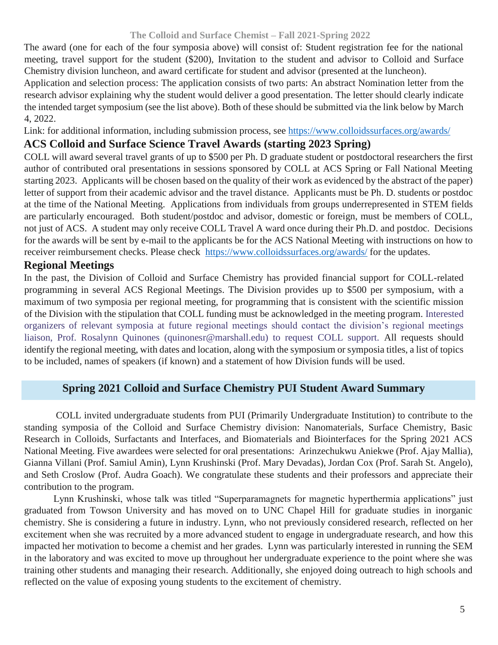### **The Colloid and Surface Chemist – Fall 2021-Spring 2022**

The award (one for each of the four symposia above) will consist of: Student registration fee for the national meeting, travel support for the student (\$200), Invitation to the student and advisor to Colloid and Surface Chemistry division luncheon, and award certificate for student and advisor (presented at the luncheon).

Application and selection process: The application consists of two parts: An abstract Nomination letter from the research advisor explaining why the student would deliver a good presentation. The letter should clearly indicate the intended target symposium (see the list above). Both of these should be submitted via the link below by March 4, 2022.

Link: for additional information, including submission process, see<https://www.colloidssurfaces.org/awards/>

### **ACS Colloid and Surface Science Travel Awards (starting 2023 Spring)**

COLL will award several travel grants of up to \$500 per Ph. D graduate student or postdoctoral researchers the first author of contributed oral presentations in sessions sponsored by COLL at ACS Spring or Fall National Meeting starting 2023. Applicants will be chosen based on the quality of their work as evidenced by the abstract of the paper) letter of support from their academic advisor and the travel distance. Applicants must be Ph. D. students or postdoc at the time of the National Meeting. Applications from individuals from groups underrepresented in STEM fields are particularly encouraged. Both student/postdoc and advisor, domestic or foreign, must be members of COLL, not just of ACS. A student may only receive COLL Travel A ward once during their Ph.D. and postdoc. Decisions for the awards will be sent by e-mail to the applicants be for the ACS National Meeting with instructions on how to receiver reimbursement checks. Please check <https://www.colloidssurfaces.org/awards/> for the updates.

### **Regional Meetings**

In the past, the Division of Colloid and Surface Chemistry has provided financial support for COLL-related programming in several ACS Regional Meetings. The Division provides up to \$500 per symposium, with a maximum of two symposia per regional meeting, for programming that is consistent with the scientific mission of the Division with the stipulation that COLL funding must be acknowledged in the meeting program. Interested organizers of relevant symposia at future regional meetings should contact the division's regional meetings liaison, Prof. Rosalynn Quinones (quinonesr@marshall.edu) to request COLL support. All requests should identify the regional meeting, with dates and location, along with the symposium or symposia titles, a list of topics to be included, names of speakers (if known) and a statement of how Division funds will be used.

## **Spring 2021 Colloid and Surface Chemistry PUI Student Award Summary**

COLL invited undergraduate students from PUI (Primarily Undergraduate Institution) to contribute to the standing symposia of the Colloid and Surface Chemistry division: Nanomaterials, Surface Chemistry, Basic Research in Colloids, Surfactants and Interfaces, and Biomaterials and Biointerfaces for the Spring 2021 ACS National Meeting. Five awardees were selected for oral presentations: Arinzechukwu Aniekwe (Prof. Ajay Mallia), Gianna Villani (Prof. Samiul Amin), Lynn Krushinski (Prof. Mary Devadas), Jordan Cox (Prof. Sarah St. Angelo), and Seth Croslow (Prof. Audra Goach). We congratulate these students and their professors and appreciate their contribution to the program.

Lynn Krushinski, whose talk was titled "Superparamagnets for magnetic hyperthermia applications" just graduated from Towson University and has moved on to UNC Chapel Hill for graduate studies in inorganic chemistry. She is considering a future in industry. Lynn, who not previously considered research, reflected on her excitement when she was recruited by a more advanced student to engage in undergraduate research, and how this impacted her motivation to become a chemist and her grades. Lynn was particularly interested in running the SEM in the laboratory and was excited to move up throughout her undergraduate experience to the point where she was training other students and managing their research. Additionally, she enjoyed doing outreach to high schools and reflected on the value of exposing young students to the excitement of chemistry.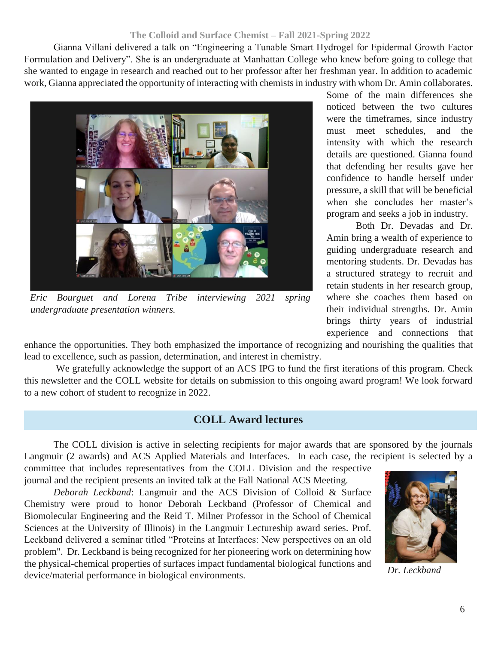### **The Colloid and Surface Chemist – Fall 2021-Spring 2022**

Gianna Villani delivered a talk on "Engineering a Tunable Smart Hydrogel for Epidermal Growth Factor Formulation and Delivery". She is an undergraduate at Manhattan College who knew before going to college that she wanted to engage in research and reached out to her professor after her freshman year. In addition to academic work, Gianna appreciated the opportunity of interacting with chemists in industry with whom Dr. Amin collaborates.



*Eric Bourguet and Lorena Tribe interviewing 2021 spring undergraduate presentation winners.*

Some of the main differences she noticed between the two cultures were the timeframes, since industry must meet schedules, and the intensity with which the research details are questioned. Gianna found that defending her results gave her confidence to handle herself under pressure, a skill that will be beneficial when she concludes her master's program and seeks a job in industry.

Both Dr. Devadas and Dr. Amin bring a wealth of experience to guiding undergraduate research and mentoring students. Dr. Devadas has a structured strategy to recruit and retain students in her research group, where she coaches them based on their individual strengths. Dr. Amin brings thirty years of industrial experience and connections that

enhance the opportunities. They both emphasized the importance of recognizing and nourishing the qualities that lead to excellence, such as passion, determination, and interest in chemistry.

We gratefully acknowledge the support of an ACS IPG to fund the first iterations of this program. Check this newsletter and the COLL website for details on submission to this ongoing award program! We look forward to a new cohort of student to recognize in 2022.

## **COLL Award lectures**

The COLL division is active in selecting recipients for major awards that are sponsored by the journals Langmuir (2 awards) and ACS Applied Materials and Interfaces. In each case, the recipient is selected by a committee that includes representatives from the COLL Division and the respective

journal and the recipient presents an invited talk at the Fall National ACS Meeting.

*Deborah Leckband*: Langmuir and the ACS Division of Colloid & Surface Chemistry were proud to honor Deborah Leckband (Professor of Chemical and Biomolecular Engineering and the Reid T. Milner Professor in the School of Chemical Sciences at the University of Illinois) in the Langmuir Lectureship award series. Prof. Leckband delivered a seminar titled "Proteins at Interfaces: New perspectives on an old problem". Dr. Leckband is being recognized for her pioneering work on determining how the physical-chemical properties of surfaces impact fundamental biological functions and device/material performance in biological environments.



*Dr. Leckband*